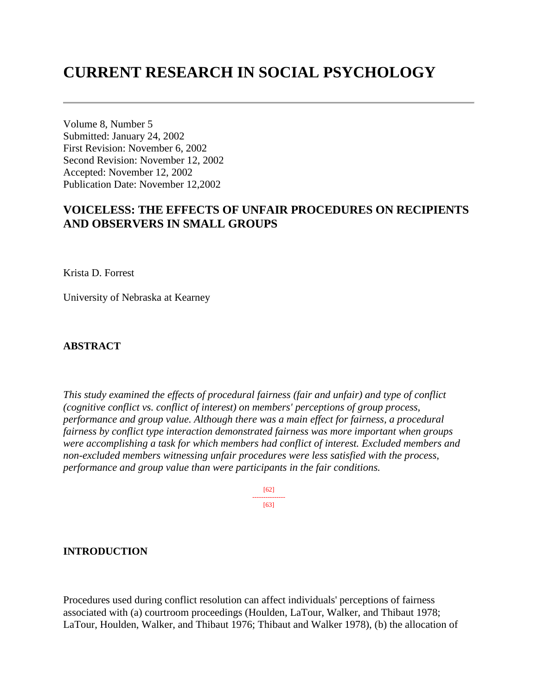# **CURRENT RESEARCH IN SOCIAL PSYCHOLOGY**

Volume 8, Number 5 Submitted: January 24, 2002 First Revision: November 6, 2002 Second Revision: November 12, 2002 Accepted: November 12, 2002 Publication Date: November 12,2002

## **VOICELESS: THE EFFECTS OF UNFAIR PROCEDURES ON RECIPIENTS AND OBSERVERS IN SMALL GROUPS**

Krista D. Forrest

University of Nebraska at Kearney

## **ABSTRACT**

*This study examined the effects of procedural fairness (fair and unfair) and type of conflict (cognitive conflict vs. conflict of interest) on members' perceptions of group process, performance and group value. Although there was a main effect for fairness, a procedural fairness by conflict type interaction demonstrated fairness was more important when groups were accomplishing a task for which members had conflict of interest. Excluded members and non-excluded members witnessing unfair procedures were less satisfied with the process, performance and group value than were participants in the fair conditions.* 

> [62] --------------- [63]

## **INTRODUCTION**

Procedures used during conflict resolution can affect individuals' perceptions of fairness associated with (a) courtroom proceedings (Houlden, LaTour, Walker, and Thibaut 1978; LaTour, Houlden, Walker, and Thibaut 1976; Thibaut and Walker 1978), (b) the allocation of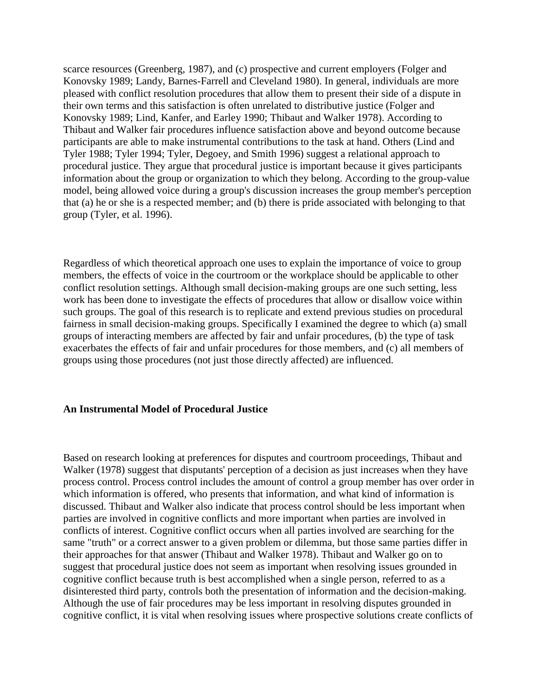scarce resources (Greenberg, 1987), and (c) prospective and current employers (Folger and Konovsky 1989; Landy, Barnes-Farrell and Cleveland 1980). In general, individuals are more pleased with conflict resolution procedures that allow them to present their side of a dispute in their own terms and this satisfaction is often unrelated to distributive justice (Folger and Konovsky 1989; Lind, Kanfer, and Earley 1990; Thibaut and Walker 1978). According to Thibaut and Walker fair procedures influence satisfaction above and beyond outcome because participants are able to make instrumental contributions to the task at hand. Others (Lind and Tyler 1988; Tyler 1994; Tyler, Degoey, and Smith 1996) suggest a relational approach to procedural justice. They argue that procedural justice is important because it gives participants information about the group or organization to which they belong. According to the group-value model, being allowed voice during a group's discussion increases the group member's perception that (a) he or she is a respected member; and (b) there is pride associated with belonging to that group (Tyler, et al. 1996).

Regardless of which theoretical approach one uses to explain the importance of voice to group members, the effects of voice in the courtroom or the workplace should be applicable to other conflict resolution settings. Although small decision-making groups are one such setting, less work has been done to investigate the effects of procedures that allow or disallow voice within such groups. The goal of this research is to replicate and extend previous studies on procedural fairness in small decision-making groups. Specifically I examined the degree to which (a) small groups of interacting members are affected by fair and unfair procedures, (b) the type of task exacerbates the effects of fair and unfair procedures for those members, and (c) all members of groups using those procedures (not just those directly affected) are influenced.

#### **An Instrumental Model of Procedural Justice**

Based on research looking at preferences for disputes and courtroom proceedings, Thibaut and Walker (1978) suggest that disputants' perception of a decision as just increases when they have process control. Process control includes the amount of control a group member has over order in which information is offered, who presents that information, and what kind of information is discussed. Thibaut and Walker also indicate that process control should be less important when parties are involved in cognitive conflicts and more important when parties are involved in conflicts of interest. Cognitive conflict occurs when all parties involved are searching for the same "truth" or a correct answer to a given problem or dilemma, but those same parties differ in their approaches for that answer (Thibaut and Walker 1978). Thibaut and Walker go on to suggest that procedural justice does not seem as important when resolving issues grounded in cognitive conflict because truth is best accomplished when a single person, referred to as a disinterested third party, controls both the presentation of information and the decision-making. Although the use of fair procedures may be less important in resolving disputes grounded in cognitive conflict, it is vital when resolving issues where prospective solutions create conflicts of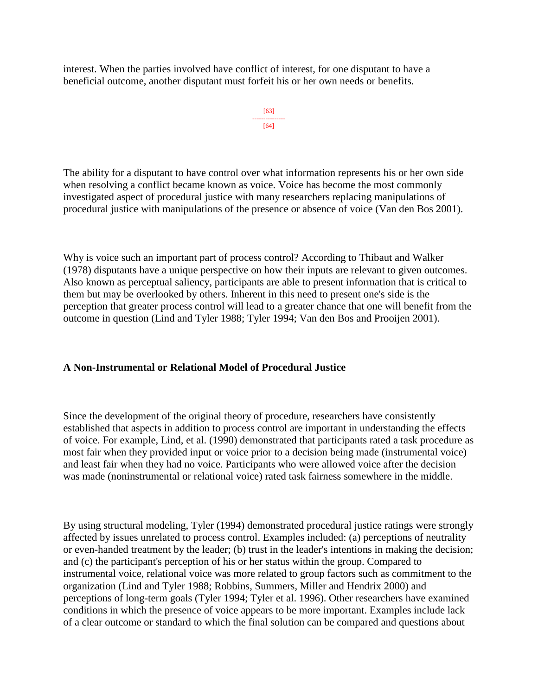interest. When the parties involved have conflict of interest, for one disputant to have a beneficial outcome, another disputant must forfeit his or her own needs or benefits.

```
[63]
---------------
 [64]
```
The ability for a disputant to have control over what information represents his or her own side when resolving a conflict became known as voice. Voice has become the most commonly investigated aspect of procedural justice with many researchers replacing manipulations of procedural justice with manipulations of the presence or absence of voice (Van den Bos 2001).

Why is voice such an important part of process control? According to Thibaut and Walker (1978) disputants have a unique perspective on how their inputs are relevant to given outcomes. Also known as perceptual saliency, participants are able to present information that is critical to them but may be overlooked by others. Inherent in this need to present one's side is the perception that greater process control will lead to a greater chance that one will benefit from the outcome in question (Lind and Tyler 1988; Tyler 1994; Van den Bos and Prooijen 2001).

## **A Non-Instrumental or Relational Model of Procedural Justice**

Since the development of the original theory of procedure, researchers have consistently established that aspects in addition to process control are important in understanding the effects of voice. For example, Lind, et al. (1990) demonstrated that participants rated a task procedure as most fair when they provided input or voice prior to a decision being made (instrumental voice) and least fair when they had no voice. Participants who were allowed voice after the decision was made (noninstrumental or relational voice) rated task fairness somewhere in the middle.

By using structural modeling, Tyler (1994) demonstrated procedural justice ratings were strongly affected by issues unrelated to process control. Examples included: (a) perceptions of neutrality or even-handed treatment by the leader; (b) trust in the leader's intentions in making the decision; and (c) the participant's perception of his or her status within the group. Compared to instrumental voice, relational voice was more related to group factors such as commitment to the organization (Lind and Tyler 1988; Robbins, Summers, Miller and Hendrix 2000) and perceptions of long-term goals (Tyler 1994; Tyler et al. 1996). Other researchers have examined conditions in which the presence of voice appears to be more important. Examples include lack of a clear outcome or standard to which the final solution can be compared and questions about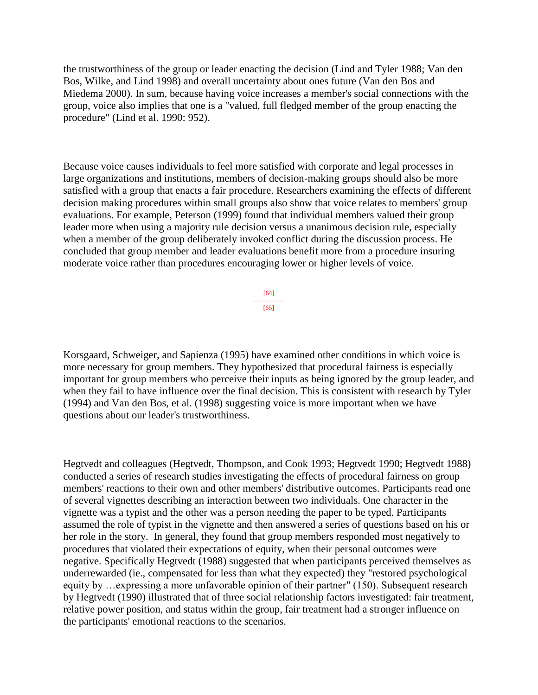the trustworthiness of the group or leader enacting the decision (Lind and Tyler 1988; Van den Bos, Wilke, and Lind 1998) and overall uncertainty about ones future (Van den Bos and Miedema 2000). In sum, because having voice increases a member's social connections with the group, voice also implies that one is a "valued, full fledged member of the group enacting the procedure" (Lind et al. 1990: 952).

Because voice causes individuals to feel more satisfied with corporate and legal processes in large organizations and institutions, members of decision-making groups should also be more satisfied with a group that enacts a fair procedure. Researchers examining the effects of different decision making procedures within small groups also show that voice relates to members' group evaluations. For example, Peterson (1999) found that individual members valued their group leader more when using a majority rule decision versus a unanimous decision rule, especially when a member of the group deliberately invoked conflict during the discussion process. He concluded that group member and leader evaluations benefit more from a procedure insuring moderate voice rather than procedures encouraging lower or higher levels of voice.

> [64] --------------- [65]

Korsgaard, Schweiger, and Sapienza (1995) have examined other conditions in which voice is more necessary for group members. They hypothesized that procedural fairness is especially important for group members who perceive their inputs as being ignored by the group leader, and when they fail to have influence over the final decision. This is consistent with research by Tyler (1994) and Van den Bos, et al. (1998) suggesting voice is more important when we have questions about our leader's trustworthiness.

Hegtvedt and colleagues (Hegtvedt, Thompson, and Cook 1993; Hegtvedt 1990; Hegtvedt 1988) conducted a series of research studies investigating the effects of procedural fairness on group members' reactions to their own and other members' distributive outcomes. Participants read one of several vignettes describing an interaction between two individuals. One character in the vignette was a typist and the other was a person needing the paper to be typed. Participants assumed the role of typist in the vignette and then answered a series of questions based on his or her role in the story. In general, they found that group members responded most negatively to procedures that violated their expectations of equity, when their personal outcomes were negative. Specifically Hegtvedt (1988) suggested that when participants perceived themselves as underrewarded (ie., compensated for less than what they expected) they "restored psychological equity by …expressing a more unfavorable opinion of their partner" (150). Subsequent research by Hegtvedt (1990) illustrated that of three social relationship factors investigated: fair treatment, relative power position, and status within the group, fair treatment had a stronger influence on the participants' emotional reactions to the scenarios.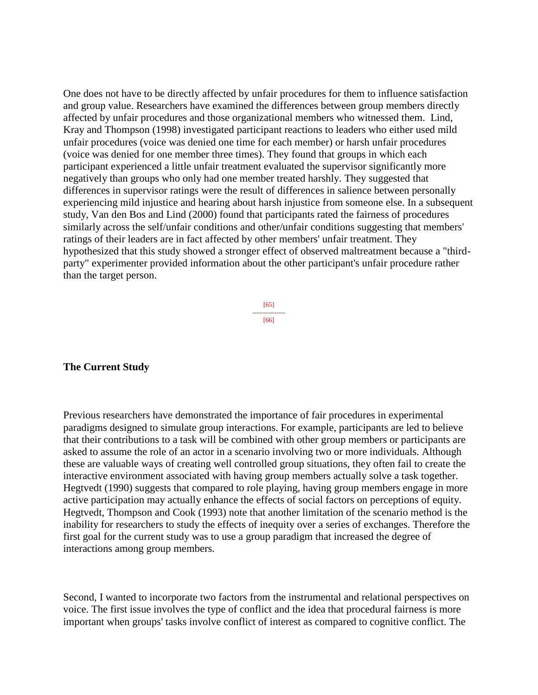One does not have to be directly affected by unfair procedures for them to influence satisfaction and group value. Researchers have examined the differences between group members directly affected by unfair procedures and those organizational members who witnessed them. Lind, Kray and Thompson (1998) investigated participant reactions to leaders who either used mild unfair procedures (voice was denied one time for each member) or harsh unfair procedures (voice was denied for one member three times). They found that groups in which each participant experienced a little unfair treatment evaluated the supervisor significantly more negatively than groups who only had one member treated harshly. They suggested that differences in supervisor ratings were the result of differences in salience between personally experiencing mild injustice and hearing about harsh injustice from someone else. In a subsequent study, Van den Bos and Lind (2000) found that participants rated the fairness of procedures similarly across the self/unfair conditions and other/unfair conditions suggesting that members' ratings of their leaders are in fact affected by other members' unfair treatment. They hypothesized that this study showed a stronger effect of observed maltreatment because a "thirdparty" experimenter provided information about the other participant's unfair procedure rather than the target person.

> [65] --------------- [66]

## **The Current Study**

Previous researchers have demonstrated the importance of fair procedures in experimental paradigms designed to simulate group interactions. For example, participants are led to believe that their contributions to a task will be combined with other group members or participants are asked to assume the role of an actor in a scenario involving two or more individuals. Although these are valuable ways of creating well controlled group situations, they often fail to create the interactive environment associated with having group members actually solve a task together. Hegtvedt (1990) suggests that compared to role playing, having group members engage in more active participation may actually enhance the effects of social factors on perceptions of equity. Hegtvedt, Thompson and Cook (1993) note that another limitation of the scenario method is the inability for researchers to study the effects of inequity over a series of exchanges. Therefore the first goal for the current study was to use a group paradigm that increased the degree of interactions among group members.

Second, I wanted to incorporate two factors from the instrumental and relational perspectives on voice. The first issue involves the type of conflict and the idea that procedural fairness is more important when groups' tasks involve conflict of interest as compared to cognitive conflict. The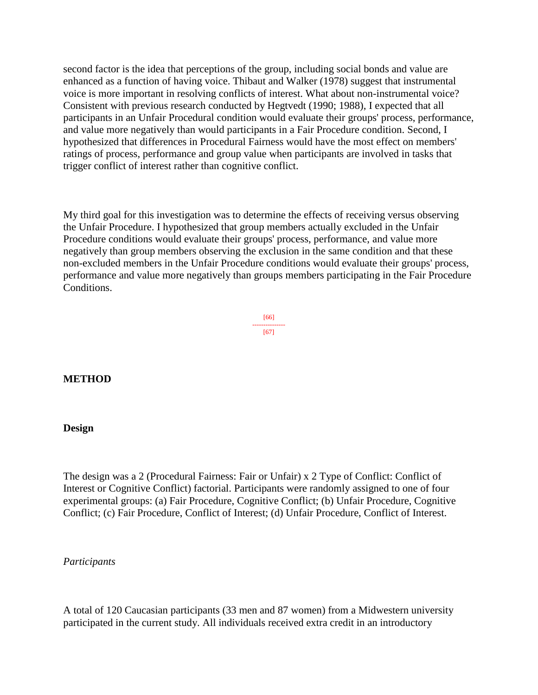second factor is the idea that perceptions of the group, including social bonds and value are enhanced as a function of having voice. Thibaut and Walker (1978) suggest that instrumental voice is more important in resolving conflicts of interest. What about non-instrumental voice? Consistent with previous research conducted by Hegtvedt (1990; 1988), I expected that all participants in an Unfair Procedural condition would evaluate their groups' process, performance, and value more negatively than would participants in a Fair Procedure condition. Second, I hypothesized that differences in Procedural Fairness would have the most effect on members' ratings of process, performance and group value when participants are involved in tasks that trigger conflict of interest rather than cognitive conflict.

My third goal for this investigation was to determine the effects of receiving versus observing the Unfair Procedure. I hypothesized that group members actually excluded in the Unfair Procedure conditions would evaluate their groups' process, performance, and value more negatively than group members observing the exclusion in the same condition and that these non-excluded members in the Unfair Procedure conditions would evaluate their groups' process, performance and value more negatively than groups members participating in the Fair Procedure Conditions.

> [66] --------------- [67]

## **METHOD**

#### **Design**

The design was a 2 (Procedural Fairness: Fair or Unfair) x 2 Type of Conflict: Conflict of Interest or Cognitive Conflict) factorial. Participants were randomly assigned to one of four experimental groups: (a) Fair Procedure, Cognitive Conflict; (b) Unfair Procedure, Cognitive Conflict; (c) Fair Procedure, Conflict of Interest; (d) Unfair Procedure, Conflict of Interest.

#### *Participants*

A total of 120 Caucasian participants (33 men and 87 women) from a Midwestern university participated in the current study. All individuals received extra credit in an introductory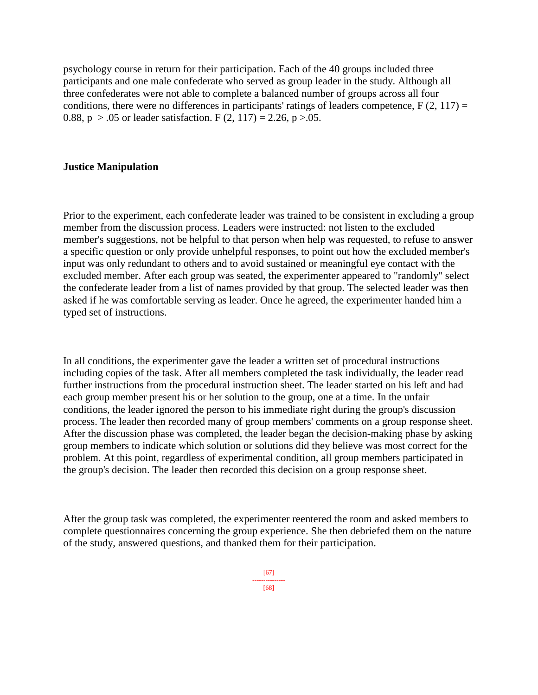psychology course in return for their participation. Each of the 40 groups included three participants and one male confederate who served as group leader in the study. Although all three confederates were not able to complete a balanced number of groups across all four conditions, there were no differences in participants' ratings of leaders competence,  $F(2, 117) =$ 0.88,  $p > .05$  or leader satisfaction. F (2, 117) = 2.26,  $p > .05$ .

## **Justice Manipulation**

Prior to the experiment, each confederate leader was trained to be consistent in excluding a group member from the discussion process. Leaders were instructed: not listen to the excluded member's suggestions, not be helpful to that person when help was requested, to refuse to answer a specific question or only provide unhelpful responses, to point out how the excluded member's input was only redundant to others and to avoid sustained or meaningful eye contact with the excluded member. After each group was seated, the experimenter appeared to "randomly" select the confederate leader from a list of names provided by that group. The selected leader was then asked if he was comfortable serving as leader. Once he agreed, the experimenter handed him a typed set of instructions.

In all conditions, the experimenter gave the leader a written set of procedural instructions including copies of the task. After all members completed the task individually, the leader read further instructions from the procedural instruction sheet. The leader started on his left and had each group member present his or her solution to the group, one at a time. In the unfair conditions, the leader ignored the person to his immediate right during the group's discussion process. The leader then recorded many of group members' comments on a group response sheet. After the discussion phase was completed, the leader began the decision-making phase by asking group members to indicate which solution or solutions did they believe was most correct for the problem. At this point, regardless of experimental condition, all group members participated in the group's decision. The leader then recorded this decision on a group response sheet.

After the group task was completed, the experimenter reentered the room and asked members to complete questionnaires concerning the group experience. She then debriefed them on the nature of the study, answered questions, and thanked them for their participation.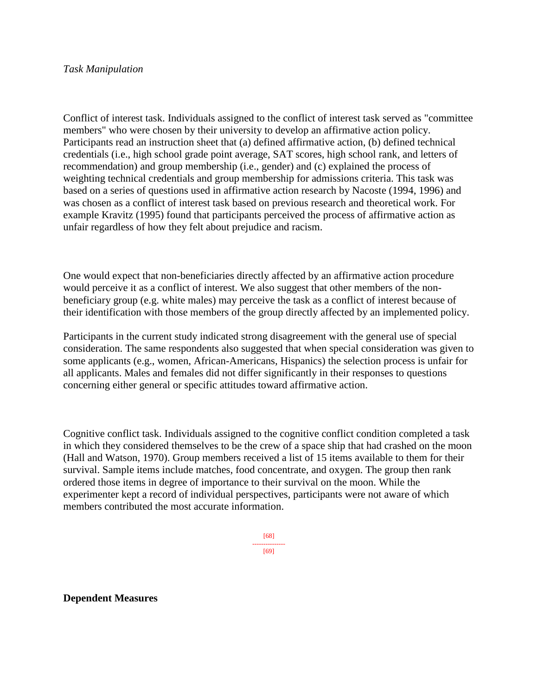## *Task Manipulation*

Conflict of interest task. Individuals assigned to the conflict of interest task served as "committee members" who were chosen by their university to develop an affirmative action policy. Participants read an instruction sheet that (a) defined affirmative action, (b) defined technical credentials (i.e., high school grade point average, SAT scores, high school rank, and letters of recommendation) and group membership (i.e., gender) and (c) explained the process of weighting technical credentials and group membership for admissions criteria. This task was based on a series of questions used in affirmative action research by Nacoste (1994, 1996) and was chosen as a conflict of interest task based on previous research and theoretical work. For example Kravitz (1995) found that participants perceived the process of affirmative action as unfair regardless of how they felt about prejudice and racism.

One would expect that non-beneficiaries directly affected by an affirmative action procedure would perceive it as a conflict of interest. We also suggest that other members of the nonbeneficiary group (e.g. white males) may perceive the task as a conflict of interest because of their identification with those members of the group directly affected by an implemented policy.

Participants in the current study indicated strong disagreement with the general use of special consideration. The same respondents also suggested that when special consideration was given to some applicants (e.g., women, African-Americans, Hispanics) the selection process is unfair for all applicants. Males and females did not differ significantly in their responses to questions concerning either general or specific attitudes toward affirmative action.

Cognitive conflict task. Individuals assigned to the cognitive conflict condition completed a task in which they considered themselves to be the crew of a space ship that had crashed on the moon (Hall and Watson, 1970). Group members received a list of 15 items available to them for their survival. Sample items include matches, food concentrate, and oxygen. The group then rank ordered those items in degree of importance to their survival on the moon. While the experimenter kept a record of individual perspectives, participants were not aware of which members contributed the most accurate information.

> [68] --------------- [69]

#### **Dependent Measures**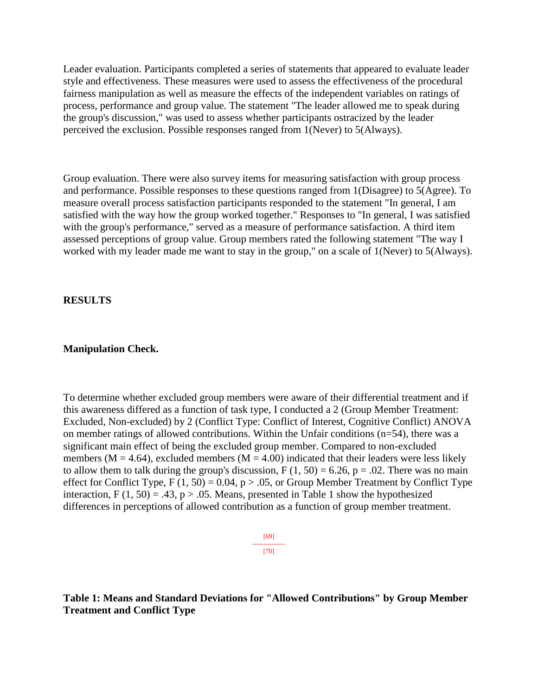Leader evaluation. Participants completed a series of statements that appeared to evaluate leader style and effectiveness. These measures were used to assess the effectiveness of the procedural fairness manipulation as well as measure the effects of the independent variables on ratings of process, performance and group value. The statement "The leader allowed me to speak during the group's discussion," was used to assess whether participants ostracized by the leader perceived the exclusion. Possible responses ranged from 1(Never) to 5(Always).

Group evaluation. There were also survey items for measuring satisfaction with group process and performance. Possible responses to these questions ranged from 1(Disagree) to 5(Agree). To measure overall process satisfaction participants responded to the statement "In general, I am satisfied with the way how the group worked together." Responses to "In general, I was satisfied with the group's performance," served as a measure of performance satisfaction. A third item assessed perceptions of group value. Group members rated the following statement "The way I worked with my leader made me want to stay in the group," on a scale of 1(Never) to 5(Always).

**RESULTS**

## **Manipulation Check.**

To determine whether excluded group members were aware of their differential treatment and if this awareness differed as a function of task type, I conducted a 2 (Group Member Treatment: Excluded, Non-excluded) by 2 (Conflict Type: Conflict of Interest, Cognitive Conflict) ANOVA on member ratings of allowed contributions. Within the Unfair conditions (n=54), there was a significant main effect of being the excluded group member. Compared to non-excluded members ( $M = 4.64$ ), excluded members ( $M = 4.00$ ) indicated that their leaders were less likely to allow them to talk during the group's discussion,  $F(1, 50) = 6.26$ ,  $p = .02$ . There was no main effect for Conflict Type,  $F(1, 50) = 0.04$ ,  $p > 0.05$ , or Group Member Treatment by Conflict Type interaction,  $F(1, 50) = .43$ ,  $p > .05$ . Means, presented in Table 1 show the hypothesized differences in perceptions of allowed contribution as a function of group member treatment.



**Table 1: Means and Standard Deviations for "Allowed Contributions" by Group Member Treatment and Conflict Type**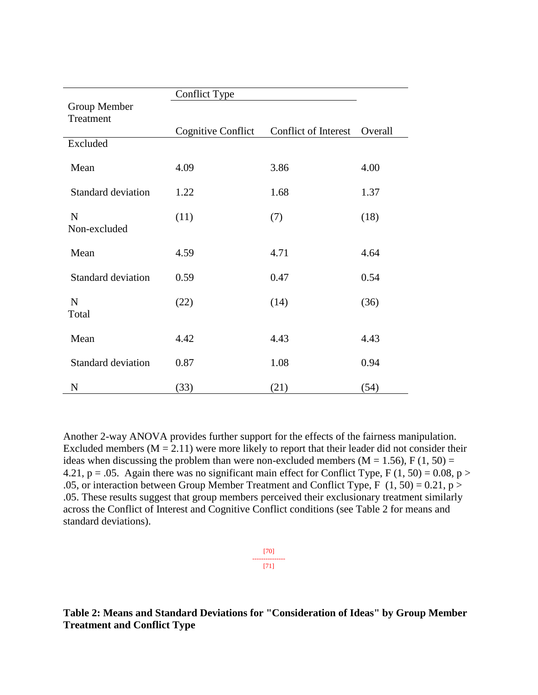|                             | <b>Conflict Type</b>      |                      |         |
|-----------------------------|---------------------------|----------------------|---------|
| Group Member                |                           |                      |         |
| Treatment                   |                           |                      |         |
|                             | <b>Cognitive Conflict</b> | Conflict of Interest | Overall |
| Excluded                    |                           |                      |         |
| Mean                        | 4.09                      | 3.86                 | 4.00    |
| <b>Standard deviation</b>   | 1.22                      | 1.68                 | 1.37    |
| $\mathbf N$<br>Non-excluded | (11)                      | (7)                  | (18)    |
| Mean                        | 4.59                      | 4.71                 | 4.64    |
| <b>Standard deviation</b>   | 0.59                      | 0.47                 | 0.54    |
| $\mathbf N$<br>Total        | (22)                      | (14)                 | (36)    |
| Mean                        | 4.42                      | 4.43                 | 4.43    |
| <b>Standard deviation</b>   | 0.87                      | 1.08                 | 0.94    |
| $\mathbf N$                 | (33)                      | (21)                 | (54)    |

Another 2-way ANOVA provides further support for the effects of the fairness manipulation. Excluded members ( $M = 2.11$ ) were more likely to report that their leader did not consider their ideas when discussing the problem than were non-excluded members ( $M = 1.56$ ), F (1, 50) = 4.21,  $p = .05$ . Again there was no significant main effect for Conflict Type, F (1, 50) = 0.08, p > .05, or interaction between Group Member Treatment and Conflict Type, F  $(1, 50) = 0.21$ , p > .05. These results suggest that group members perceived their exclusionary treatment similarly across the Conflict of Interest and Cognitive Conflict conditions (see Table 2 for means and standard deviations).

$$
\begin{array}{c}\n [70] \\
 \overline{171} \\
 [71]\n \end{array}
$$

**Table 2: Means and Standard Deviations for "Consideration of Ideas" by Group Member Treatment and Conflict Type**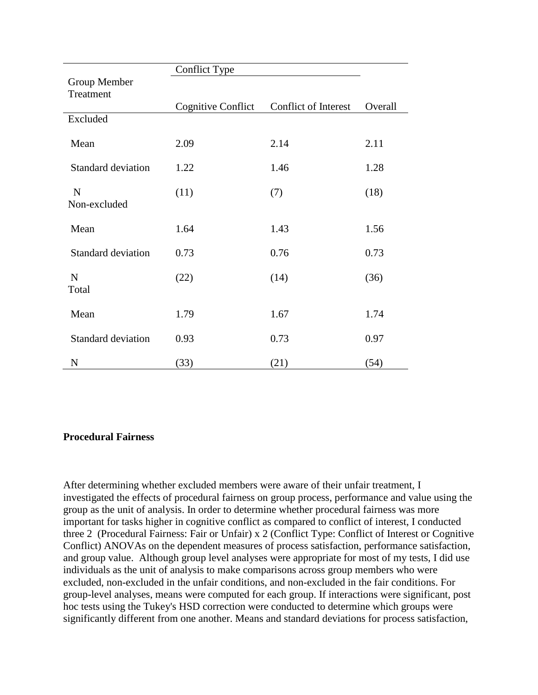|                           | <b>Conflict Type</b>      |                      |         |
|---------------------------|---------------------------|----------------------|---------|
| Group Member              |                           |                      |         |
| Treatment                 |                           |                      |         |
|                           | <b>Cognitive Conflict</b> | Conflict of Interest | Overall |
| Excluded                  |                           |                      |         |
| Mean                      | 2.09                      | 2.14                 | 2.11    |
| <b>Standard deviation</b> | 1.22                      | 1.46                 | 1.28    |
| $\mathbf N$               | (11)                      | (7)                  | (18)    |
| Non-excluded              |                           |                      |         |
| Mean                      | 1.64                      | 1.43                 | 1.56    |
| <b>Standard deviation</b> | 0.73                      | 0.76                 | 0.73    |
| $\mathbf N$               | (22)                      | (14)                 | (36)    |
| Total                     |                           |                      |         |
| Mean                      | 1.79                      | 1.67                 | 1.74    |
| <b>Standard deviation</b> | 0.93                      | 0.73                 | 0.97    |
| N                         | (33)                      | (21)                 | (54)    |

## **Procedural Fairness**

After determining whether excluded members were aware of their unfair treatment, I investigated the effects of procedural fairness on group process, performance and value using the group as the unit of analysis. In order to determine whether procedural fairness was more important for tasks higher in cognitive conflict as compared to conflict of interest, I conducted three 2 (Procedural Fairness: Fair or Unfair) x 2 (Conflict Type: Conflict of Interest or Cognitive Conflict) ANOVAs on the dependent measures of process satisfaction, performance satisfaction, and group value. Although group level analyses were appropriate for most of my tests, I did use individuals as the unit of analysis to make comparisons across group members who were excluded, non-excluded in the unfair conditions, and non-excluded in the fair conditions. For group-level analyses, means were computed for each group. If interactions were significant, post hoc tests using the Tukey's HSD correction were conducted to determine which groups were significantly different from one another. Means and standard deviations for process satisfaction,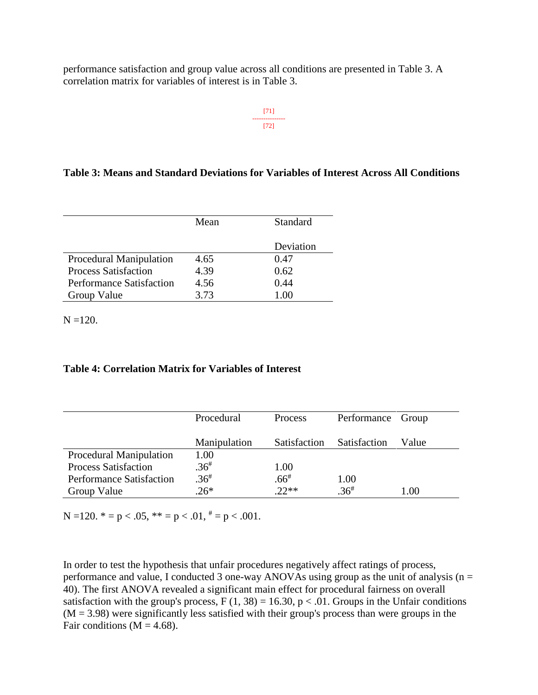performance satisfaction and group value across all conditions are presented in Table 3. A correlation matrix for variables of interest is in Table 3.

> [71] --------------- [72]

## **Table 3: Means and Standard Deviations for Variables of Interest Across All Conditions**

|                                 | Mean | Standard  |
|---------------------------------|------|-----------|
|                                 |      | Deviation |
| <b>Procedural Manipulation</b>  | 4.65 | 0.47      |
| <b>Process Satisfaction</b>     | 4.39 | 0.62      |
| <b>Performance Satisfaction</b> | 4.56 | 0.44      |
| Group Value                     | 3.73 |           |

 $N = 120$ .

#### **Table 4: Correlation Matrix for Variables of Interest**

|                                 | Procedural   | <b>Process</b> | Performance Group |         |
|---------------------------------|--------------|----------------|-------------------|---------|
|                                 |              |                |                   |         |
|                                 | Manipulation | Satisfaction   | Satisfaction      | Value   |
| <b>Procedural Manipulation</b>  | 1.00         |                |                   |         |
| <b>Process Satisfaction</b>     | $.36^{#}$    | 1.00           |                   |         |
| <b>Performance Satisfaction</b> | $.36^{#}$    | $.66^{*}$      | 1.00              |         |
| Group Value                     | $.26*$       | $.22**$        | $.36^{#}$         | $.00\,$ |

N =120.  $* = p < .05$ ,  $** = p < .01$ ,  $* = p < .001$ .

In order to test the hypothesis that unfair procedures negatively affect ratings of process, performance and value, I conducted 3 one-way ANOVAs using group as the unit of analysis ( $n =$ 40). The first ANOVA revealed a significant main effect for procedural fairness on overall satisfaction with the group's process,  $F(1, 38) = 16.30$ ,  $p < .01$ . Groups in the Unfair conditions  $(M = 3.98)$  were significantly less satisfied with their group's process than were groups in the Fair conditions ( $M = 4.68$ ).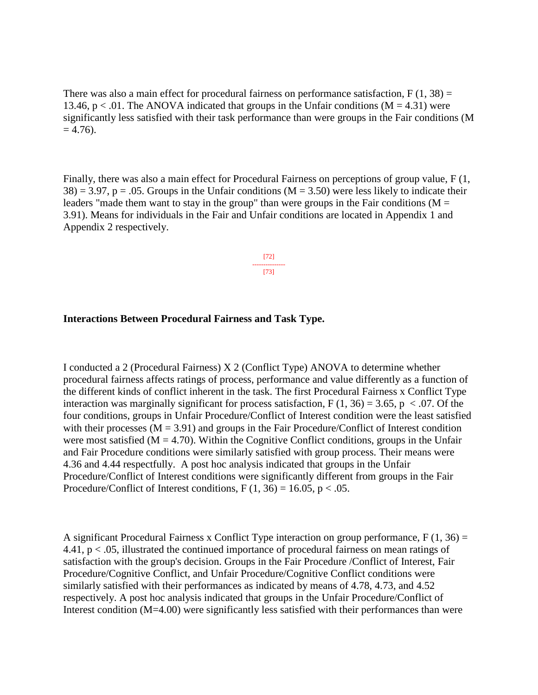There was also a main effect for procedural fairness on performance satisfaction,  $F(1, 38) =$ 13.46,  $p < 0.01$ . The ANOVA indicated that groups in the Unfair conditions (M = 4.31) were significantly less satisfied with their task performance than were groups in the Fair conditions (M  $= 4.76$ ).

Finally, there was also a main effect for Procedural Fairness on perceptions of group value, F (1,  $38$ ) = 3.97, p = .05. Groups in the Unfair conditions (M = 3.50) were less likely to indicate their leaders "made them want to stay in the group" than were groups in the Fair conditions ( $M =$ 3.91). Means for individuals in the Fair and Unfair conditions are located in Appendix 1 and Appendix 2 respectively.

> [72] --------------- [73]

## **Interactions Between Procedural Fairness and Task Type.**

I conducted a 2 (Procedural Fairness) X 2 (Conflict Type) ANOVA to determine whether procedural fairness affects ratings of process, performance and value differently as a function of the different kinds of conflict inherent in the task. The first Procedural Fairness x Conflict Type interaction was marginally significant for process satisfaction,  $F(1, 36) = 3.65$ ,  $p < .07$ . Of the four conditions, groups in Unfair Procedure/Conflict of Interest condition were the least satisfied with their processes  $(M = 3.91)$  and groups in the Fair Procedure/Conflict of Interest condition were most satisfied ( $M = 4.70$ ). Within the Cognitive Conflict conditions, groups in the Unfair and Fair Procedure conditions were similarly satisfied with group process. Their means were 4.36 and 4.44 respectfully. A post hoc analysis indicated that groups in the Unfair Procedure/Conflict of Interest conditions were significantly different from groups in the Fair Procedure/Conflict of Interest conditions,  $F(1, 36) = 16.05$ ,  $p < .05$ .

A significant Procedural Fairness x Conflict Type interaction on group performance,  $F(1, 36) =$ 4.41, p < .05, illustrated the continued importance of procedural fairness on mean ratings of satisfaction with the group's decision. Groups in the Fair Procedure /Conflict of Interest, Fair Procedure/Cognitive Conflict, and Unfair Procedure/Cognitive Conflict conditions were similarly satisfied with their performances as indicated by means of 4.78, 4.73, and 4.52 respectively. A post hoc analysis indicated that groups in the Unfair Procedure/Conflict of Interest condition (M=4.00) were significantly less satisfied with their performances than were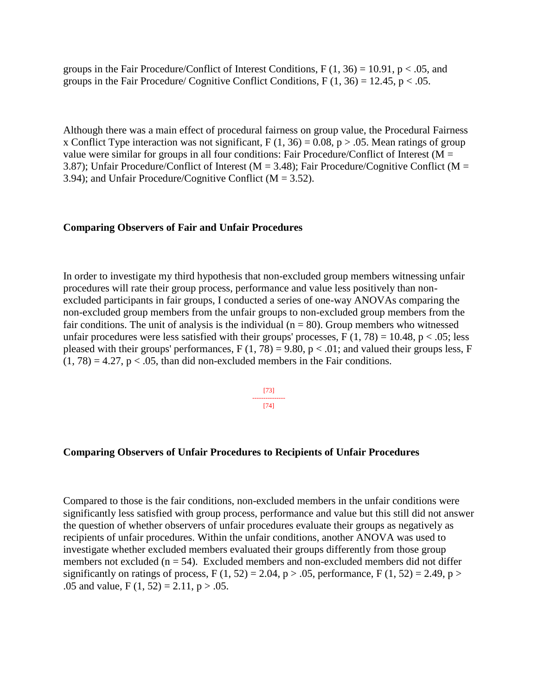groups in the Fair Procedure/Conflict of Interest Conditions,  $F(1, 36) = 10.91$ , p < .05, and groups in the Fair Procedure/ Cognitive Conflict Conditions,  $F(1, 36) = 12.45$ ,  $p < .05$ .

Although there was a main effect of procedural fairness on group value, the Procedural Fairness x Conflict Type interaction was not significant,  $F(1, 36) = 0.08$ ,  $p > .05$ . Mean ratings of group value were similar for groups in all four conditions: Fair Procedure/Conflict of Interest ( $M =$ 3.87); Unfair Procedure/Conflict of Interest ( $M = 3.48$ ); Fair Procedure/Cognitive Conflict ( $M =$ 3.94); and Unfair Procedure/Cognitive Conflict ( $M = 3.52$ ).

#### **Comparing Observers of Fair and Unfair Procedures**

In order to investigate my third hypothesis that non-excluded group members witnessing unfair procedures will rate their group process, performance and value less positively than nonexcluded participants in fair groups, I conducted a series of one-way ANOVAs comparing the non-excluded group members from the unfair groups to non-excluded group members from the fair conditions. The unit of analysis is the individual ( $n = 80$ ). Group members who witnessed unfair procedures were less satisfied with their groups' processes,  $F(1, 78) = 10.48$ ,  $p < .05$ ; less pleased with their groups' performances,  $F(1, 78) = 9.80$ ,  $p < .01$ ; and valued their groups less, F  $(1, 78) = 4.27$ ,  $p < .05$ , than did non-excluded members in the Fair conditions.

> [73] --------------- [74]

#### **Comparing Observers of Unfair Procedures to Recipients of Unfair Procedures**

Compared to those is the fair conditions, non-excluded members in the unfair conditions were significantly less satisfied with group process, performance and value but this still did not answer the question of whether observers of unfair procedures evaluate their groups as negatively as recipients of unfair procedures. Within the unfair conditions, another ANOVA was used to investigate whether excluded members evaluated their groups differently from those group members not excluded ( $n = 54$ ). Excluded members and non-excluded members did not differ significantly on ratings of process,  $F(1, 52) = 2.04$ ,  $p > .05$ , performance,  $F(1, 52) = 2.49$ ,  $p >$ .05 and value,  $F(1, 52) = 2.11$ ,  $p > .05$ .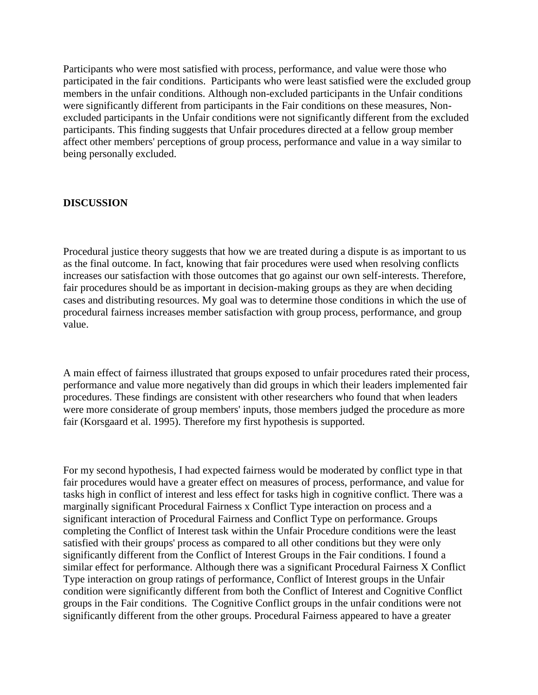Participants who were most satisfied with process, performance, and value were those who participated in the fair conditions. Participants who were least satisfied were the excluded group members in the unfair conditions. Although non-excluded participants in the Unfair conditions were significantly different from participants in the Fair conditions on these measures, Nonexcluded participants in the Unfair conditions were not significantly different from the excluded participants. This finding suggests that Unfair procedures directed at a fellow group member affect other members' perceptions of group process, performance and value in a way similar to being personally excluded.

## **DISCUSSION**

Procedural justice theory suggests that how we are treated during a dispute is as important to us as the final outcome. In fact, knowing that fair procedures were used when resolving conflicts increases our satisfaction with those outcomes that go against our own self-interests. Therefore, fair procedures should be as important in decision-making groups as they are when deciding cases and distributing resources. My goal was to determine those conditions in which the use of procedural fairness increases member satisfaction with group process, performance, and group value.

A main effect of fairness illustrated that groups exposed to unfair procedures rated their process, performance and value more negatively than did groups in which their leaders implemented fair procedures. These findings are consistent with other researchers who found that when leaders were more considerate of group members' inputs, those members judged the procedure as more fair (Korsgaard et al. 1995). Therefore my first hypothesis is supported.

For my second hypothesis, I had expected fairness would be moderated by conflict type in that fair procedures would have a greater effect on measures of process, performance, and value for tasks high in conflict of interest and less effect for tasks high in cognitive conflict. There was a marginally significant Procedural Fairness x Conflict Type interaction on process and a significant interaction of Procedural Fairness and Conflict Type on performance. Groups completing the Conflict of Interest task within the Unfair Procedure conditions were the least satisfied with their groups' process as compared to all other conditions but they were only significantly different from the Conflict of Interest Groups in the Fair conditions. I found a similar effect for performance. Although there was a significant Procedural Fairness X Conflict Type interaction on group ratings of performance, Conflict of Interest groups in the Unfair condition were significantly different from both the Conflict of Interest and Cognitive Conflict groups in the Fair conditions. The Cognitive Conflict groups in the unfair conditions were not significantly different from the other groups. Procedural Fairness appeared to have a greater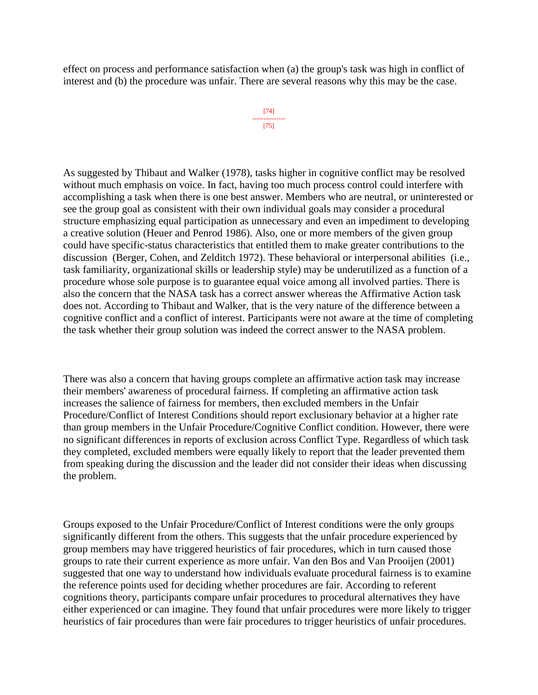effect on process and performance satisfaction when (a) the group's task was high in conflict of interest and (b) the procedure was unfair. There are several reasons why this may be the case.

```
[74]
---------------
[75]
```
As suggested by Thibaut and Walker (1978), tasks higher in cognitive conflict may be resolved without much emphasis on voice. In fact, having too much process control could interfere with accomplishing a task when there is one best answer. Members who are neutral, or uninterested or see the group goal as consistent with their own individual goals may consider a procedural structure emphasizing equal participation as unnecessary and even an impediment to developing a creative solution (Heuer and Penrod 1986). Also, one or more members of the given group could have specific-status characteristics that entitled them to make greater contributions to the discussion (Berger, Cohen, and Zelditch 1972). These behavioral or interpersonal abilities (i.e., task familiarity, organizational skills or leadership style) may be underutilized as a function of a procedure whose sole purpose is to guarantee equal voice among all involved parties. There is also the concern that the NASA task has a correct answer whereas the Affirmative Action task does not. According to Thibaut and Walker, that is the very nature of the difference between a cognitive conflict and a conflict of interest. Participants were not aware at the time of completing the task whether their group solution was indeed the correct answer to the NASA problem.

There was also a concern that having groups complete an affirmative action task may increase their members' awareness of procedural fairness. If completing an affirmative action task increases the salience of fairness for members, then excluded members in the Unfair Procedure/Conflict of Interest Conditions should report exclusionary behavior at a higher rate than group members in the Unfair Procedure/Cognitive Conflict condition. However, there were no significant differences in reports of exclusion across Conflict Type. Regardless of which task they completed, excluded members were equally likely to report that the leader prevented them from speaking during the discussion and the leader did not consider their ideas when discussing the problem.

Groups exposed to the Unfair Procedure/Conflict of Interest conditions were the only groups significantly different from the others. This suggests that the unfair procedure experienced by group members may have triggered heuristics of fair procedures, which in turn caused those groups to rate their current experience as more unfair. Van den Bos and Van Prooijen (2001) suggested that one way to understand how individuals evaluate procedural fairness is to examine the reference points used for deciding whether procedures are fair. According to referent cognitions theory, participants compare unfair procedures to procedural alternatives they have either experienced or can imagine. They found that unfair procedures were more likely to trigger heuristics of fair procedures than were fair procedures to trigger heuristics of unfair procedures.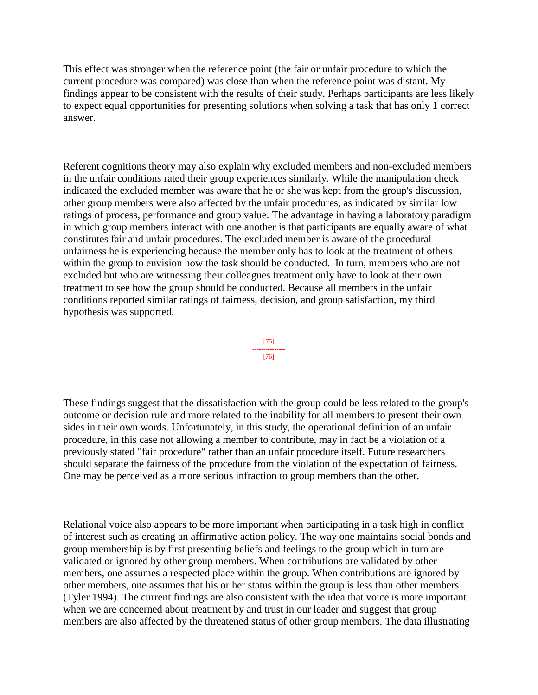This effect was stronger when the reference point (the fair or unfair procedure to which the current procedure was compared) was close than when the reference point was distant. My findings appear to be consistent with the results of their study. Perhaps participants are less likely to expect equal opportunities for presenting solutions when solving a task that has only 1 correct answer.

Referent cognitions theory may also explain why excluded members and non-excluded members in the unfair conditions rated their group experiences similarly. While the manipulation check indicated the excluded member was aware that he or she was kept from the group's discussion, other group members were also affected by the unfair procedures, as indicated by similar low ratings of process, performance and group value. The advantage in having a laboratory paradigm in which group members interact with one another is that participants are equally aware of what constitutes fair and unfair procedures. The excluded member is aware of the procedural unfairness he is experiencing because the member only has to look at the treatment of others within the group to envision how the task should be conducted. In turn, members who are not excluded but who are witnessing their colleagues treatment only have to look at their own treatment to see how the group should be conducted. Because all members in the unfair conditions reported similar ratings of fairness, decision, and group satisfaction, my third hypothesis was supported.



These findings suggest that the dissatisfaction with the group could be less related to the group's outcome or decision rule and more related to the inability for all members to present their own sides in their own words. Unfortunately, in this study, the operational definition of an unfair procedure, in this case not allowing a member to contribute, may in fact be a violation of a previously stated "fair procedure" rather than an unfair procedure itself. Future researchers should separate the fairness of the procedure from the violation of the expectation of fairness. One may be perceived as a more serious infraction to group members than the other.

Relational voice also appears to be more important when participating in a task high in conflict of interest such as creating an affirmative action policy. The way one maintains social bonds and group membership is by first presenting beliefs and feelings to the group which in turn are validated or ignored by other group members. When contributions are validated by other members, one assumes a respected place within the group. When contributions are ignored by other members, one assumes that his or her status within the group is less than other members (Tyler 1994). The current findings are also consistent with the idea that voice is more important when we are concerned about treatment by and trust in our leader and suggest that group members are also affected by the threatened status of other group members. The data illustrating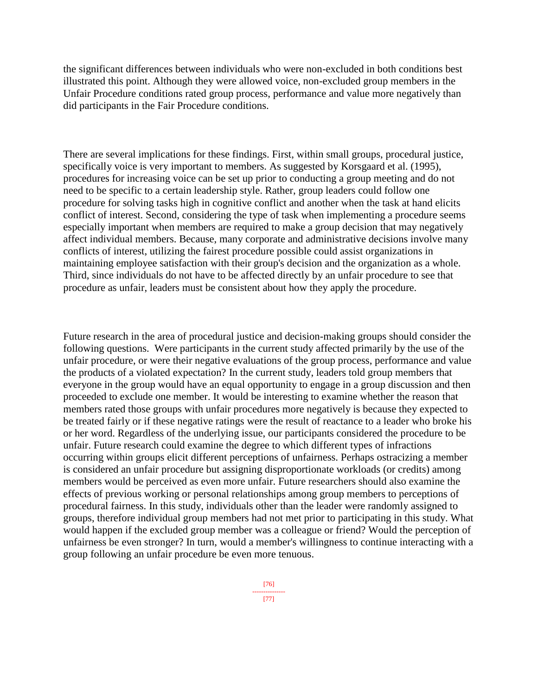the significant differences between individuals who were non-excluded in both conditions best illustrated this point. Although they were allowed voice, non-excluded group members in the Unfair Procedure conditions rated group process, performance and value more negatively than did participants in the Fair Procedure conditions.

There are several implications for these findings. First, within small groups, procedural justice, specifically voice is very important to members. As suggested by Korsgaard et al. (1995), procedures for increasing voice can be set up prior to conducting a group meeting and do not need to be specific to a certain leadership style. Rather, group leaders could follow one procedure for solving tasks high in cognitive conflict and another when the task at hand elicits conflict of interest. Second, considering the type of task when implementing a procedure seems especially important when members are required to make a group decision that may negatively affect individual members. Because, many corporate and administrative decisions involve many conflicts of interest, utilizing the fairest procedure possible could assist organizations in maintaining employee satisfaction with their group's decision and the organization as a whole. Third, since individuals do not have to be affected directly by an unfair procedure to see that procedure as unfair, leaders must be consistent about how they apply the procedure.

Future research in the area of procedural justice and decision-making groups should consider the following questions. Were participants in the current study affected primarily by the use of the unfair procedure, or were their negative evaluations of the group process, performance and value the products of a violated expectation? In the current study, leaders told group members that everyone in the group would have an equal opportunity to engage in a group discussion and then proceeded to exclude one member. It would be interesting to examine whether the reason that members rated those groups with unfair procedures more negatively is because they expected to be treated fairly or if these negative ratings were the result of reactance to a leader who broke his or her word. Regardless of the underlying issue, our participants considered the procedure to be unfair. Future research could examine the degree to which different types of infractions occurring within groups elicit different perceptions of unfairness. Perhaps ostracizing a member is considered an unfair procedure but assigning disproportionate workloads (or credits) among members would be perceived as even more unfair. Future researchers should also examine the effects of previous working or personal relationships among group members to perceptions of procedural fairness. In this study, individuals other than the leader were randomly assigned to groups, therefore individual group members had not met prior to participating in this study. What would happen if the excluded group member was a colleague or friend? Would the perception of unfairness be even stronger? In turn, would a member's willingness to continue interacting with a group following an unfair procedure be even more tenuous.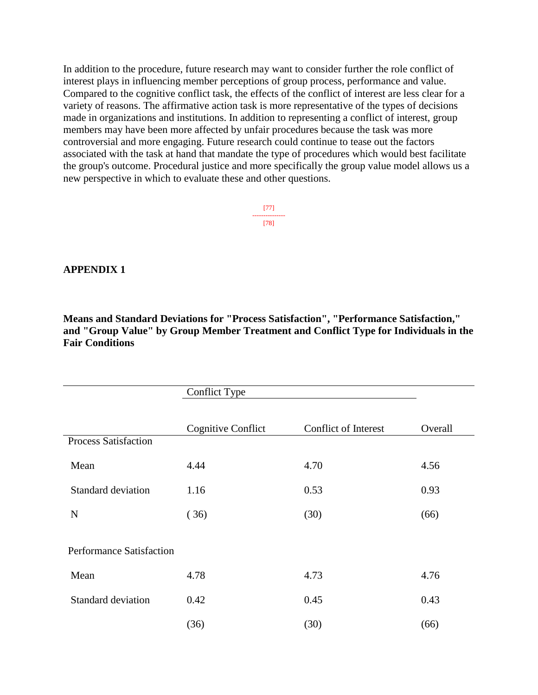In addition to the procedure, future research may want to consider further the role conflict of interest plays in influencing member perceptions of group process, performance and value. Compared to the cognitive conflict task, the effects of the conflict of interest are less clear for a variety of reasons. The affirmative action task is more representative of the types of decisions made in organizations and institutions. In addition to representing a conflict of interest, group members may have been more affected by unfair procedures because the task was more controversial and more engaging. Future research could continue to tease out the factors associated with the task at hand that mandate the type of procedures which would best facilitate the group's outcome. Procedural justice and more specifically the group value model allows us a new perspective in which to evaluate these and other questions.

> [77] --------------- [78]

## **APPENDIX 1**

**Means and Standard Deviations for "Process Satisfaction", "Performance Satisfaction," and "Group Value" by Group Member Treatment and Conflict Type for Individuals in the Fair Conditions**

|                                 | Conflict Type             |                      |         |
|---------------------------------|---------------------------|----------------------|---------|
|                                 | <b>Cognitive Conflict</b> | Conflict of Interest | Overall |
| <b>Process Satisfaction</b>     |                           |                      |         |
| Mean                            | 4.44                      | 4.70                 | 4.56    |
| <b>Standard deviation</b>       | 1.16                      | 0.53                 | 0.93    |
| $\mathbf N$                     | (36)                      | (30)                 | (66)    |
| <b>Performance Satisfaction</b> |                           |                      |         |
| Mean                            | 4.78                      | 4.73                 | 4.76    |
| <b>Standard deviation</b>       | 0.42                      | 0.45                 | 0.43    |
|                                 | (36)                      | (30)                 | (66)    |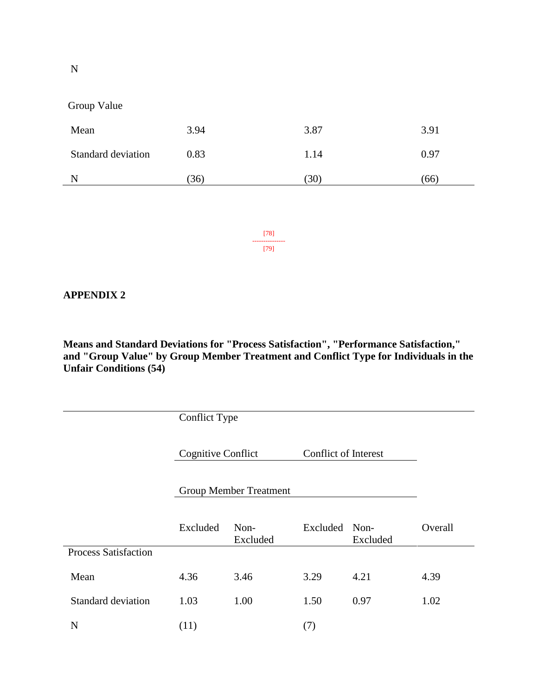Group Value

| Mean               | 3.94 | 3.87 | 3.91 |
|--------------------|------|------|------|
| Standard deviation | 0.83 | 1.14 | 0.97 |
|                    | (36) | 30   | (66) |

[78] --------------- [79]

## **APPENDIX 2**

**Means and Standard Deviations for "Process Satisfaction", "Performance Satisfaction," and "Group Value" by Group Member Treatment and Conflict Type for Individuals in the Unfair Conditions (54)**

|                             | <b>Conflict Type</b>          |                  |                             |                  |         |
|-----------------------------|-------------------------------|------------------|-----------------------------|------------------|---------|
|                             | Cognitive Conflict            |                  | <b>Conflict of Interest</b> |                  |         |
|                             | <b>Group Member Treatment</b> |                  |                             |                  |         |
|                             | Excluded                      | Non-<br>Excluded | Excluded                    | Non-<br>Excluded | Overall |
| <b>Process Satisfaction</b> |                               |                  |                             |                  |         |
| Mean                        | 4.36                          | 3.46             | 3.29                        | 4.21             | 4.39    |
| <b>Standard deviation</b>   | 1.03                          | 1.00             | 1.50                        | 0.97             | 1.02    |
| $\mathbf N$                 | (11)                          |                  | (7)                         |                  |         |

N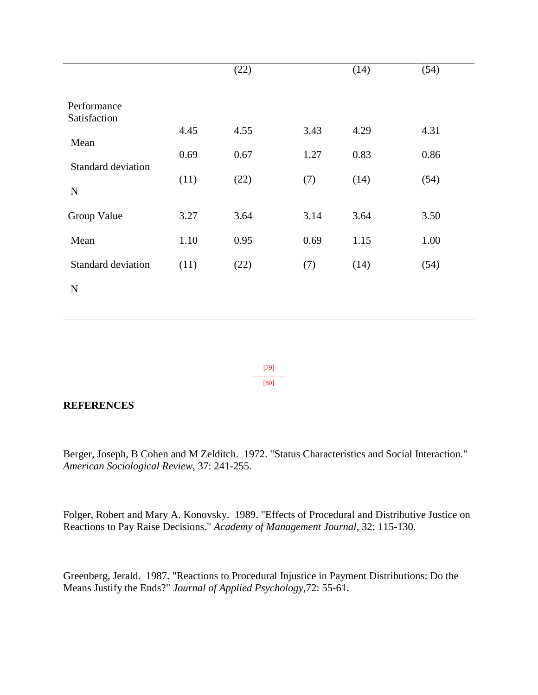|                                   |      | (22) |      | (14) | (54) |
|-----------------------------------|------|------|------|------|------|
| Performance<br>Satisfaction       |      |      |      |      |      |
|                                   | 4.45 | 4.55 | 3.43 | 4.29 | 4.31 |
| Mean<br><b>Standard deviation</b> | 0.69 | 0.67 | 1.27 | 0.83 | 0.86 |
| ${\bf N}$                         | (11) | (22) | (7)  | (14) | (54) |
| Group Value                       | 3.27 | 3.64 | 3.14 | 3.64 | 3.50 |
| Mean                              | 1.10 | 0.95 | 0.69 | 1.15 | 1.00 |
| <b>Standard deviation</b>         | (11) | (22) | (7)  | (14) | (54) |
| ${\bf N}$                         |      |      |      |      |      |
|                                   |      |      |      |      |      |

[79] --------------- [80]

## **REFERENCES**

Berger, Joseph, B Cohen and M Zelditch. 1972. "Status Characteristics and Social Interaction." *American Sociological Review*, 37: 241-255.

Folger, Robert and Mary A. Konovsky. 1989. "Effects of Procedural and Distributive Justice on Reactions to Pay Raise Decisions." *Academy of Management Journal*, 32: 115-130.

Greenberg, Jerald. 1987. "Reactions to Procedural Injustice in Payment Distributions: Do the Means Justify the Ends?" *Journal of Applied Psychology*,72: 55-61.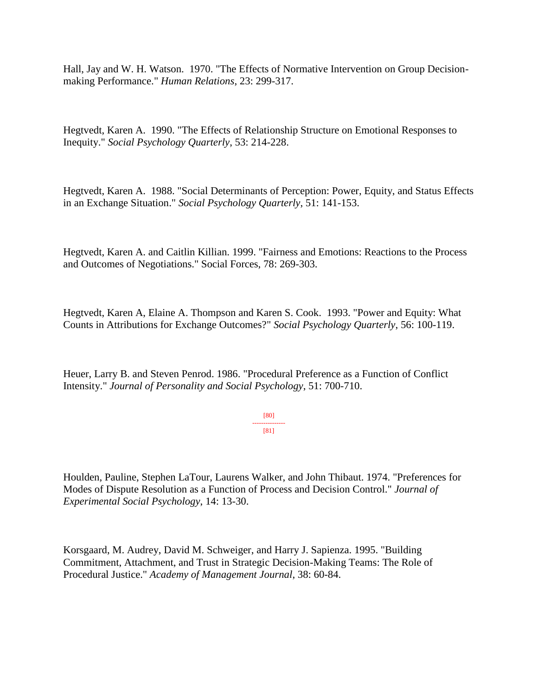Hall, Jay and W. H. Watson. 1970. "The Effects of Normative Intervention on Group Decisionmaking Performance." *Human Relations*, 23: 299-317.

Hegtvedt, Karen A. 1990. "The Effects of Relationship Structure on Emotional Responses to Inequity." *Social Psychology Quarterly*, 53: 214-228.

Hegtvedt, Karen A. 1988. "Social Determinants of Perception: Power, Equity, and Status Effects in an Exchange Situation." *Social Psychology Quarterly*, 51: 141-153.

Hegtvedt, Karen A. and Caitlin Killian. 1999. "Fairness and Emotions: Reactions to the Process and Outcomes of Negotiations." Social Forces, 78: 269-303.

Hegtvedt, Karen A, Elaine A. Thompson and Karen S. Cook. 1993. "Power and Equity: What Counts in Attributions for Exchange Outcomes?" *Social Psychology Quarterly*, 56: 100-119.

Heuer, Larry B. and Steven Penrod. 1986. "Procedural Preference as a Function of Conflict Intensity." *Journal of Personality and Social Psychology*, 51: 700-710.

> [80] --------------- [81]

Houlden, Pauline, Stephen LaTour, Laurens Walker, and John Thibaut. 1974. "Preferences for Modes of Dispute Resolution as a Function of Process and Decision Control." *Journal of Experimental Social Psychology*, 14: 13-30.

Korsgaard, M. Audrey, David M. Schweiger, and Harry J. Sapienza. 1995. "Building Commitment, Attachment, and Trust in Strategic Decision-Making Teams: The Role of Procedural Justice." *Academy of Management Journal*, 38: 60-84.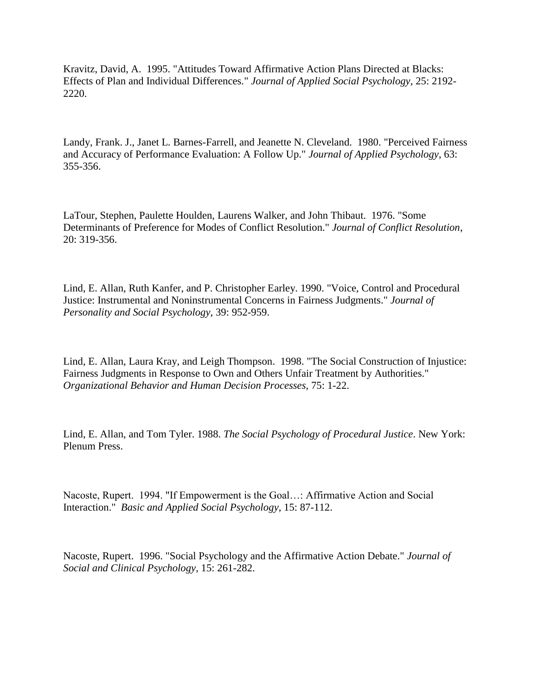Kravitz, David, A. 1995. "Attitudes Toward Affirmative Action Plans Directed at Blacks: Effects of Plan and Individual Differences." *Journal of Applied Social Psychology*, 25: 2192- 2220.

Landy, Frank. J., Janet L. Barnes-Farrell, and Jeanette N. Cleveland. 1980. "Perceived Fairness and Accuracy of Performance Evaluation: A Follow Up." *Journal of Applied Psychology*, 63: 355-356.

LaTour, Stephen, Paulette Houlden, Laurens Walker, and John Thibaut. 1976. "Some Determinants of Preference for Modes of Conflict Resolution." *Journal of Conflict Resolution*, 20: 319-356.

Lind, E. Allan, Ruth Kanfer, and P. Christopher Earley. 1990. "Voice, Control and Procedural Justice: Instrumental and Noninstrumental Concerns in Fairness Judgments." *Journal of Personality and Social Psychology*, 39: 952-959.

Lind, E. Allan, Laura Kray, and Leigh Thompson. 1998. "The Social Construction of Injustice: Fairness Judgments in Response to Own and Others Unfair Treatment by Authorities." *Organizational Behavior and Human Decision Processes*, 75: 1-22.

Lind, E. Allan, and Tom Tyler. 1988. *The Social Psychology of Procedural Justice*. New York: Plenum Press.

Nacoste, Rupert. 1994. "If Empowerment is the Goal…: Affirmative Action and Social Interaction." *Basic and Applied Social Psychology*, 15: 87-112.

Nacoste, Rupert. 1996. "Social Psychology and the Affirmative Action Debate." *Journal of Social and Clinical Psychology*, 15: 261-282.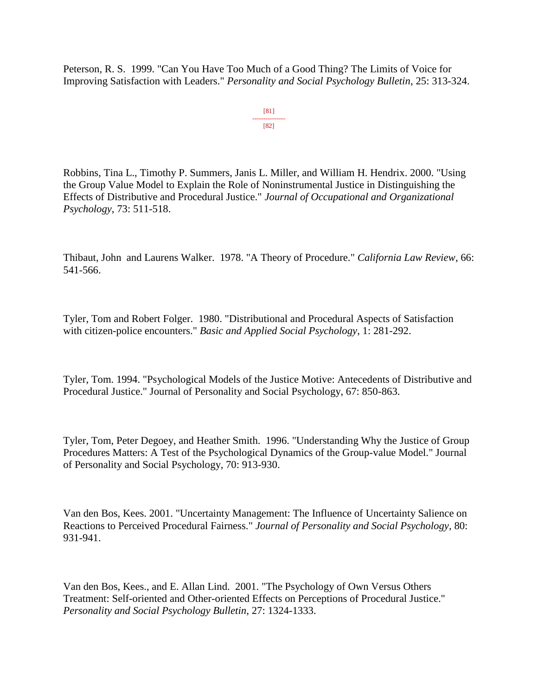Peterson, R. S. 1999. "Can You Have Too Much of a Good Thing? The Limits of Voice for Improving Satisfaction with Leaders." *Personality and Social Psychology Bulletin*, 25: 313-324.

> [81] --------------- [82]

Robbins, Tina L., Timothy P. Summers, Janis L. Miller, and William H. Hendrix. 2000. "Using the Group Value Model to Explain the Role of Noninstrumental Justice in Distinguishing the Effects of Distributive and Procedural Justice." *Journal of Occupational and Organizational Psychology*, 73: 511-518.

Thibaut, John and Laurens Walker. 1978. "A Theory of Procedure." *California Law Review*, 66: 541-566.

Tyler, Tom and Robert Folger. 1980. "Distributional and Procedural Aspects of Satisfaction with citizen-police encounters." *Basic and Applied Social Psychology*, 1: 281-292.

Tyler, Tom. 1994. "Psychological Models of the Justice Motive: Antecedents of Distributive and Procedural Justice." Journal of Personality and Social Psychology, 67: 850-863.

Tyler, Tom, Peter Degoey, and Heather Smith. 1996. "Understanding Why the Justice of Group Procedures Matters: A Test of the Psychological Dynamics of the Group-value Model." Journal of Personality and Social Psychology, 70: 913-930.

Van den Bos, Kees. 2001. "Uncertainty Management: The Influence of Uncertainty Salience on Reactions to Perceived Procedural Fairness." *Journal of Personality and Social Psychology*, 80: 931-941.

Van den Bos, Kees., and E. Allan Lind. 2001. "The Psychology of Own Versus Others Treatment: Self-oriented and Other-oriented Effects on Perceptions of Procedural Justice." *Personality and Social Psychology Bulletin*, 27: 1324-1333.